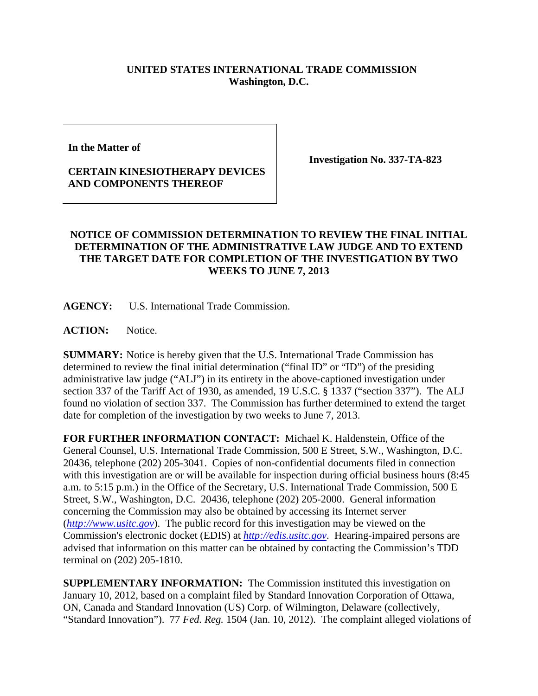## **UNITED STATES INTERNATIONAL TRADE COMMISSION Washington, D.C.**

**In the Matter of** 

## **CERTAIN KINESIOTHERAPY DEVICES AND COMPONENTS THEREOF**

**Investigation No. 337-TA-823** 

## **NOTICE OF COMMISSION DETERMINATION TO REVIEW THE FINAL INITIAL DETERMINATION OF THE ADMINISTRATIVE LAW JUDGE AND TO EXTEND THE TARGET DATE FOR COMPLETION OF THE INVESTIGATION BY TWO WEEKS TO JUNE 7, 2013**

**AGENCY:** U.S. International Trade Commission.

ACTION: Notice.

**SUMMARY:** Notice is hereby given that the U.S. International Trade Commission has determined to review the final initial determination ("final ID" or "ID") of the presiding administrative law judge ("ALJ") in its entirety in the above-captioned investigation under section 337 of the Tariff Act of 1930, as amended, 19 U.S.C. § 1337 ("section 337"). The ALJ found no violation of section 337. The Commission has further determined to extend the target date for completion of the investigation by two weeks to June 7, 2013.

**FOR FURTHER INFORMATION CONTACT:** Michael K. Haldenstein, Office of the General Counsel, U.S. International Trade Commission, 500 E Street, S.W., Washington, D.C. 20436, telephone (202) 205-3041. Copies of non-confidential documents filed in connection with this investigation are or will be available for inspection during official business hours (8:45) a.m. to 5:15 p.m.) in the Office of the Secretary, U.S. International Trade Commission, 500 E Street, S.W., Washington, D.C. 20436, telephone (202) 205-2000. General information concerning the Commission may also be obtained by accessing its Internet server (*http://www.usitc.gov*). The public record for this investigation may be viewed on the Commission's electronic docket (EDIS) at *http://edis.usitc.gov*. Hearing-impaired persons are advised that information on this matter can be obtained by contacting the Commission's TDD terminal on (202) 205-1810.

**SUPPLEMENTARY INFORMATION:** The Commission instituted this investigation on January 10, 2012, based on a complaint filed by Standard Innovation Corporation of Ottawa, ON, Canada and Standard Innovation (US) Corp. of Wilmington, Delaware (collectively, "Standard Innovation"). 77 *Fed. Reg.* 1504 (Jan. 10, 2012). The complaint alleged violations of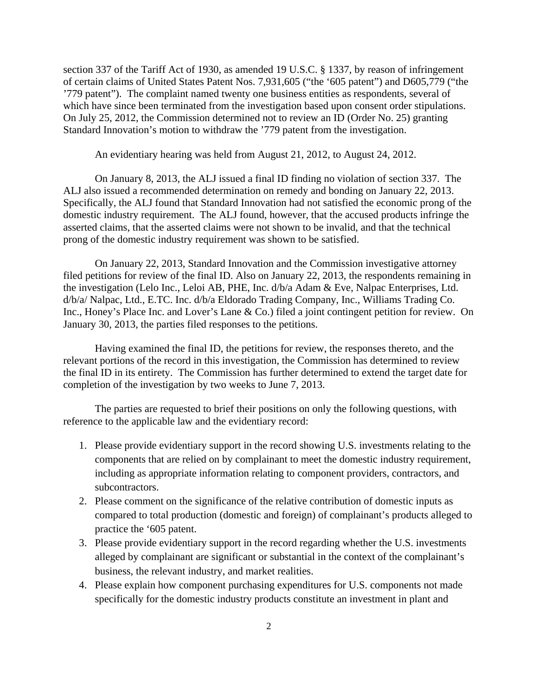section 337 of the Tariff Act of 1930, as amended 19 U.S.C. § 1337, by reason of infringement of certain claims of United States Patent Nos. 7,931,605 ("the '605 patent") and D605,779 ("the '779 patent"). The complaint named twenty one business entities as respondents, several of which have since been terminated from the investigation based upon consent order stipulations. On July 25, 2012, the Commission determined not to review an ID (Order No. 25) granting Standard Innovation's motion to withdraw the '779 patent from the investigation.

An evidentiary hearing was held from August 21, 2012, to August 24, 2012.

On January 8, 2013, the ALJ issued a final ID finding no violation of section 337. The ALJ also issued a recommended determination on remedy and bonding on January 22, 2013. Specifically, the ALJ found that Standard Innovation had not satisfied the economic prong of the domestic industry requirement. The ALJ found, however, that the accused products infringe the asserted claims, that the asserted claims were not shown to be invalid, and that the technical prong of the domestic industry requirement was shown to be satisfied.

On January 22, 2013, Standard Innovation and the Commission investigative attorney filed petitions for review of the final ID. Also on January 22, 2013, the respondents remaining in the investigation (Lelo Inc., Leloi AB, PHE, Inc. d/b/a Adam & Eve, Nalpac Enterprises, Ltd. d/b/a/ Nalpac, Ltd., E.TC. Inc. d/b/a Eldorado Trading Company, Inc., Williams Trading Co. Inc., Honey's Place Inc. and Lover's Lane & Co.) filed a joint contingent petition for review. On January 30, 2013, the parties filed responses to the petitions.

Having examined the final ID, the petitions for review, the responses thereto, and the relevant portions of the record in this investigation, the Commission has determined to review the final ID in its entirety. The Commission has further determined to extend the target date for completion of the investigation by two weeks to June 7, 2013.

The parties are requested to brief their positions on only the following questions, with reference to the applicable law and the evidentiary record:

- 1. Please provide evidentiary support in the record showing U.S. investments relating to the components that are relied on by complainant to meet the domestic industry requirement, including as appropriate information relating to component providers, contractors, and subcontractors.
- 2. Please comment on the significance of the relative contribution of domestic inputs as compared to total production (domestic and foreign) of complainant's products alleged to practice the '605 patent.
- 3. Please provide evidentiary support in the record regarding whether the U.S. investments alleged by complainant are significant or substantial in the context of the complainant's business, the relevant industry, and market realities.
- 4. Please explain how component purchasing expenditures for U.S. components not made specifically for the domestic industry products constitute an investment in plant and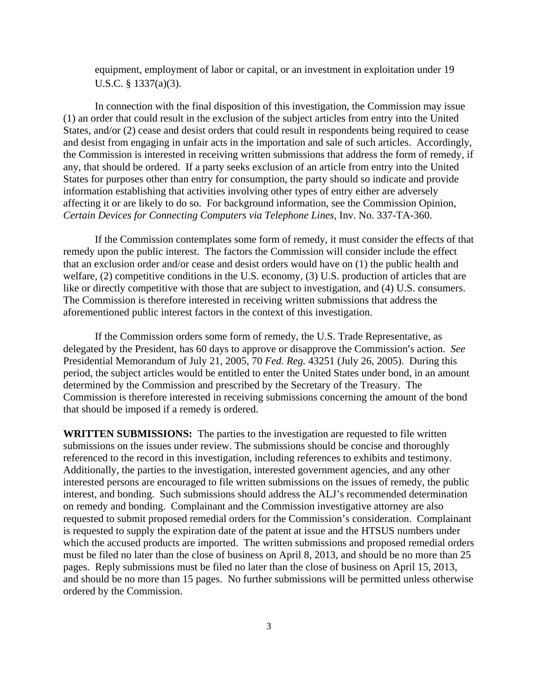equipment, employment of labor or capital, or an investment in exploitation under 19 U.S.C. § 1337(a)(3).

 In connection with the final disposition of this investigation, the Commission may issue (1) an order that could result in the exclusion of the subject articles from entry into the United States, and/or (2) cease and desist orders that could result in respondents being required to cease and desist from engaging in unfair acts in the importation and sale of such articles. Accordingly, the Commission is interested in receiving written submissions that address the form of remedy, if any, that should be ordered. If a party seeks exclusion of an article from entry into the United States for purposes other than entry for consumption, the party should so indicate and provide information establishing that activities involving other types of entry either are adversely affecting it or are likely to do so. For background information, see the Commission Opinion, *Certain Devices for Connecting Computers via Telephone Lines*, Inv. No. 337-TA-360.

 If the Commission contemplates some form of remedy, it must consider the effects of that remedy upon the public interest. The factors the Commission will consider include the effect that an exclusion order and/or cease and desist orders would have on (1) the public health and welfare, (2) competitive conditions in the U.S. economy, (3) U.S. production of articles that are like or directly competitive with those that are subject to investigation, and (4) U.S. consumers. The Commission is therefore interested in receiving written submissions that address the aforementioned public interest factors in the context of this investigation.

If the Commission orders some form of remedy, the U.S. Trade Representative, as delegated by the President, has 60 days to approve or disapprove the Commission's action. *See* Presidential Memorandum of July 21, 2005, 70 *Fed. Reg.* 43251 (July 26, 2005). During this period, the subject articles would be entitled to enter the United States under bond, in an amount determined by the Commission and prescribed by the Secretary of the Treasury. The Commission is therefore interested in receiving submissions concerning the amount of the bond that should be imposed if a remedy is ordered.

**WRITTEN SUBMISSIONS:** The parties to the investigation are requested to file written submissions on the issues under review. The submissions should be concise and thoroughly referenced to the record in this investigation, including references to exhibits and testimony. Additionally, the parties to the investigation, interested government agencies, and any other interested persons are encouraged to file written submissions on the issues of remedy, the public interest, and bonding. Such submissions should address the ALJ's recommended determination on remedy and bonding. Complainant and the Commission investigative attorney are also requested to submit proposed remedial orders for the Commission's consideration. Complainant is requested to supply the expiration date of the patent at issue and the HTSUS numbers under which the accused products are imported. The written submissions and proposed remedial orders must be filed no later than the close of business on April 8, 2013, and should be no more than 25 pages. Reply submissions must be filed no later than the close of business on April 15, 2013, and should be no more than 15 pages. No further submissions will be permitted unless otherwise ordered by the Commission.